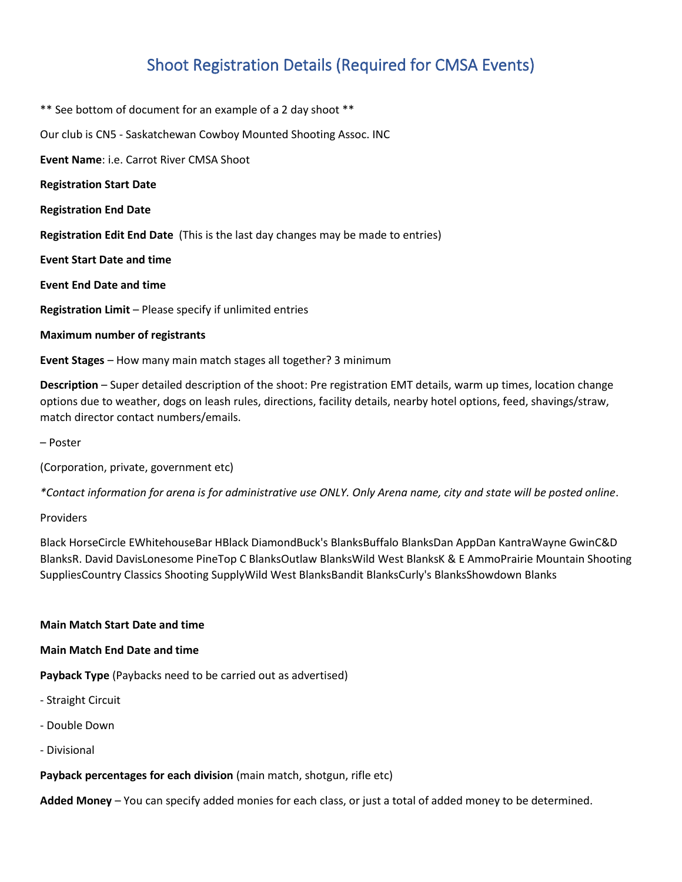## Shoot Registration Details (Required for CMSA Events)

\*\* See bottom of document for an example of a 2 day shoot \*\*

Our club is CN5 - Saskatchewan Cowboy Mounted Shooting Assoc. INC

**Event Name**: i.e. Carrot River CMSA Shoot

**Registration Start Date**

**Registration End Date**

**Registration Edit End Date** (This is the last day changes may be made to entries)

**Event Start Date and time**

**Event End Date and time**

**Registration Limit** – Please specify if unlimited entries

#### **Maximum number of registrants**

**Event Stages** – How many main match stages all together? 3 minimum

**Description** – Super detailed description of the shoot: Pre registration EMT details, warm up times, location change options due to weather, dogs on leash rules, directions, facility details, nearby hotel options, feed, shavings/straw, match director contact numbers/emails.

– Poster

(Corporation, private, government etc)

*\*Contact information for arena is for administrative use ONLY. Only Arena name, city and state will be posted online*.

#### Providers

Black HorseCircle EWhitehouseBar HBlack DiamondBuck's BlanksBuffalo BlanksDan AppDan KantraWayne GwinC&D BlanksR. David DavisLonesome PineTop C BlanksOutlaw BlanksWild West BlanksK & E AmmoPrairie Mountain Shooting SuppliesCountry Classics Shooting SupplyWild West BlanksBandit BlanksCurly's BlanksShowdown Blanks

#### **Main Match Start Date and time**

#### **Main Match End Date and time**

**Payback Type** (Paybacks need to be carried out as advertised)

- Straight Circuit
- Double Down
- Divisional

**Payback percentages for each division** (main match, shotgun, rifle etc)

**Added Money** – You can specify added monies for each class, or just a total of added money to be determined.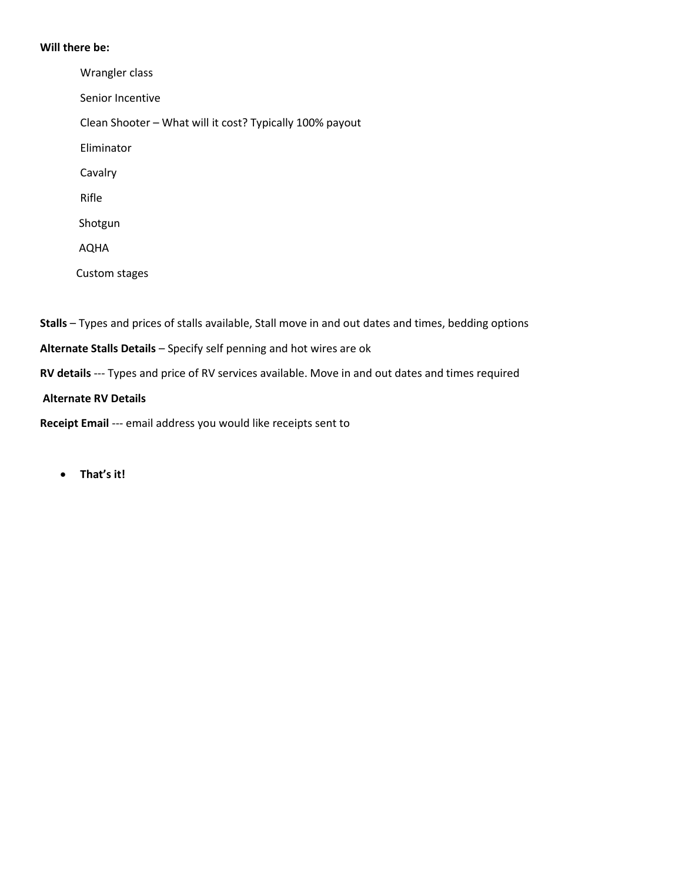#### **Will there be:**

Wrangler class Senior Incentive Clean Shooter – What will it cost? Typically 100% payout Eliminator Cavalry Rifle Shotgun AQHA Custom stages

**Stalls** – Types and prices of stalls available, Stall move in and out dates and times, bedding options

**Alternate Stalls Details** – Specify self penning and hot wires are ok

**RV details** --- Types and price of RV services available. Move in and out dates and times required

#### **Alternate RV Details**

**Receipt Email** --- email address you would like receipts sent to

• **That's it!**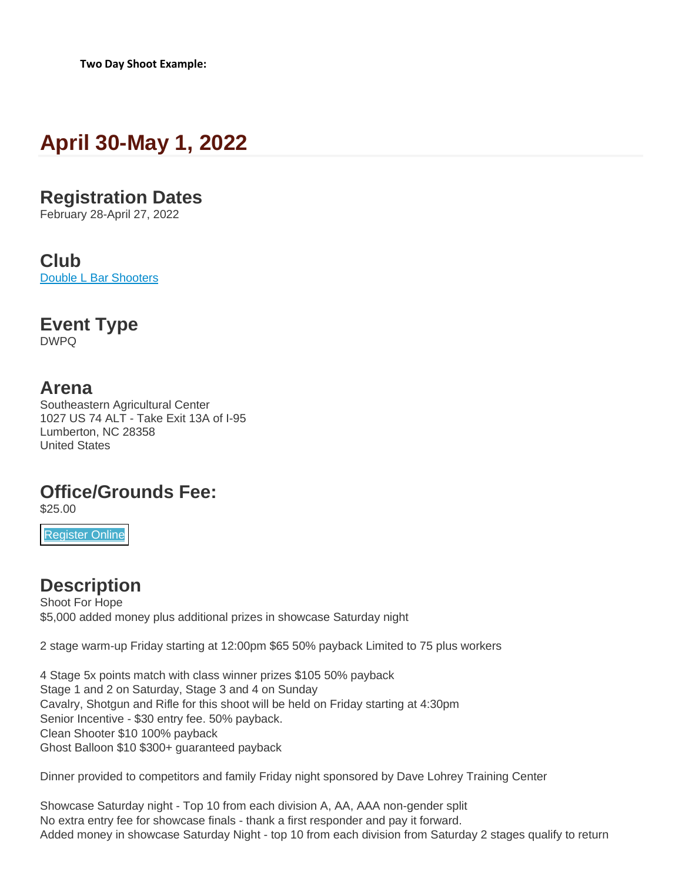# **April 30-May 1, 2022**

## **Registration Dates**

February 28-April 27, 2022

## **Club**

[Double L Bar Shooters](https://www.cmsaevents.com/clubs/ajax-club.php?clubid=1211)

# **Event Type**

DWPQ

## **Arena**

Southeastern Agricultural Center 1027 US 74 ALT - Take Exit 13A of I-95 Lumberton, NC 28358 United States

## **Office/Grounds Fee:**

\$25.00

[Register](https://www.cmsaevents.com/members/event-registration/entry-add.php?id=11964) Online

## **Description**

Shoot For Hope \$5,000 added money plus additional prizes in showcase Saturday night

2 stage warm-up Friday starting at 12:00pm \$65 50% payback Limited to 75 plus workers

4 Stage 5x points match with class winner prizes \$105 50% payback Stage 1 and 2 on Saturday, Stage 3 and 4 on Sunday Cavalry, Shotgun and Rifle for this shoot will be held on Friday starting at 4:30pm Senior Incentive - \$30 entry fee. 50% payback. Clean Shooter \$10 100% payback Ghost Balloon \$10 \$300+ guaranteed payback

Dinner provided to competitors and family Friday night sponsored by Dave Lohrey Training Center

Showcase Saturday night - Top 10 from each division A, AA, AAA non-gender split No extra entry fee for showcase finals - thank a first responder and pay it forward. Added money in showcase Saturday Night - top 10 from each division from Saturday 2 stages qualify to return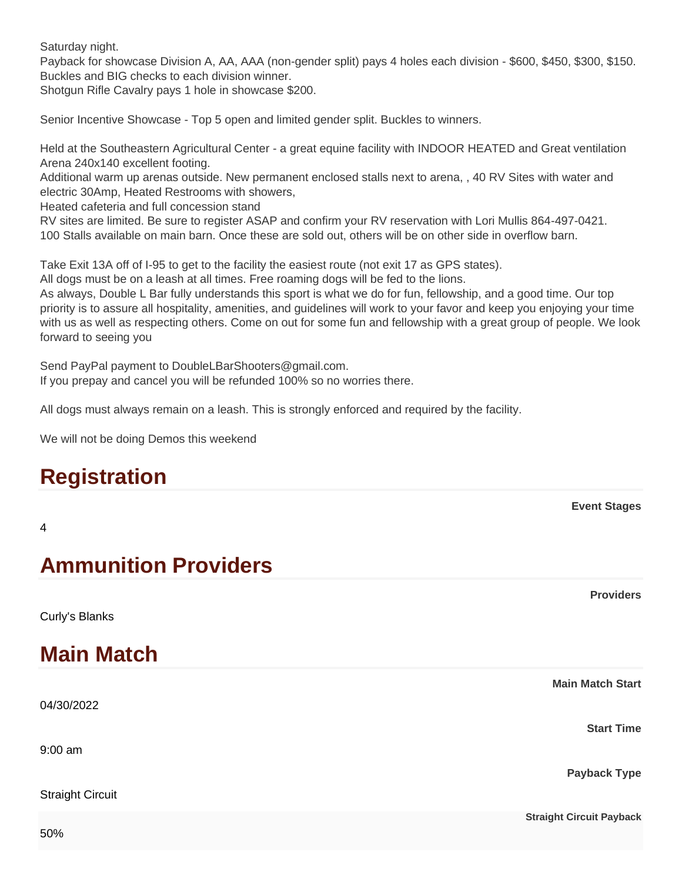Saturday night.

Payback for showcase Division A, AA, AAA (non-gender split) pays 4 holes each division - \$600, \$450, \$300, \$150. Buckles and BIG checks to each division winner.

Shotgun Rifle Cavalry pays 1 hole in showcase \$200.

Senior Incentive Showcase - Top 5 open and limited gender split. Buckles to winners.

Held at the Southeastern Agricultural Center - a great equine facility with INDOOR HEATED and Great ventilation Arena 240x140 excellent footing.

Additional warm up arenas outside. New permanent enclosed stalls next to arena, , 40 RV Sites with water and electric 30Amp, Heated Restrooms with showers,

Heated cafeteria and full concession stand

RV sites are limited. Be sure to register ASAP and confirm your RV reservation with Lori Mullis 864-497-0421. 100 Stalls available on main barn. Once these are sold out, others will be on other side in overflow barn.

Take Exit 13A off of I-95 to get to the facility the easiest route (not exit 17 as GPS states).

All dogs must be on a leash at all times. Free roaming dogs will be fed to the lions.

As always, Double L Bar fully understands this sport is what we do for fun, fellowship, and a good time. Our top priority is to assure all hospitality, amenities, and guidelines will work to your favor and keep you enjoying your time with us as well as respecting others. Come on out for some fun and fellowship with a great group of people. We look forward to seeing you

Send PayPal payment to DoubleLBarShooters@gmail.com. If you prepay and cancel you will be refunded 100% so no worries there.

All dogs must always remain on a leash. This is strongly enforced and required by the facility.

We will not be doing Demos this weekend

# **Registration**

| $\overline{4}$              | <b>Event Stages</b>             |
|-----------------------------|---------------------------------|
| <b>Ammunition Providers</b> |                                 |
| Curly's Blanks              | <b>Providers</b>                |
| <b>Main Match</b>           |                                 |
| 04/30/2022                  | <b>Main Match Start</b>         |
|                             | <b>Start Time</b>               |
| $9:00$ am                   | <b>Payback Type</b>             |
| <b>Straight Circuit</b>     |                                 |
| 50%                         | <b>Straight Circuit Payback</b> |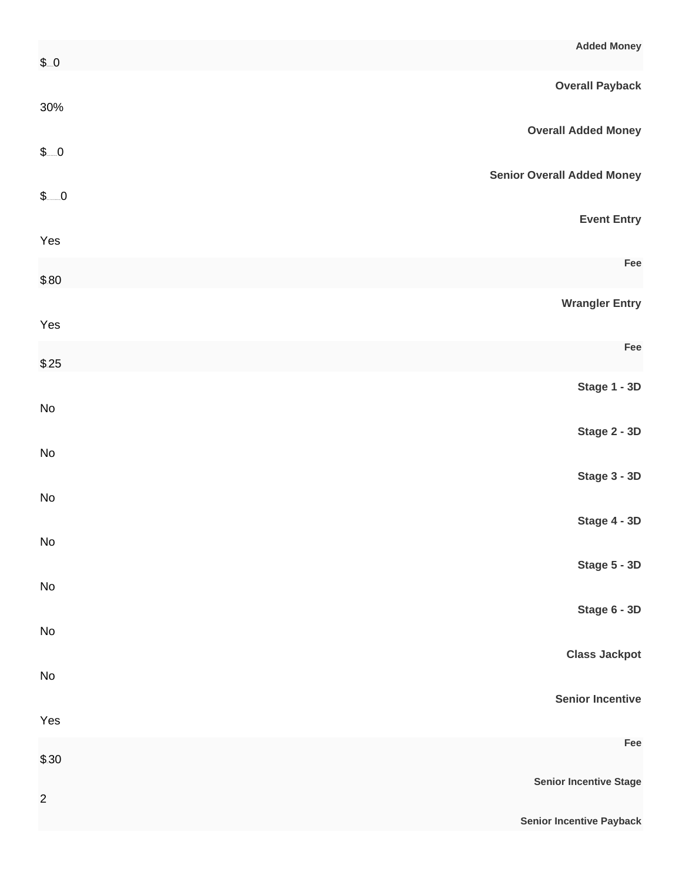| $$-.0$                       | <b>Added Money</b>                |
|------------------------------|-----------------------------------|
| 30%                          | <b>Overall Payback</b>            |
|                              | <b>Overall Added Money</b>        |
| \$0                          | <b>Senior Overall Added Money</b> |
| \$0                          | <b>Event Entry</b>                |
| Yes                          |                                   |
| \$80                         | Fee                               |
| Yes                          | <b>Wrangler Entry</b>             |
| \$25                         | Fee                               |
| No                           | Stage 1 - 3D                      |
| No                           | Stage 2 - 3D                      |
| No                           | Stage 3 - 3D                      |
|                              | Stage 4 - 3D                      |
| No                           | <b>Stage 5 - 3D</b>               |
| $\operatorname{\mathsf{No}}$ |                                   |
| $\operatorname{\mathsf{No}}$ | Stage 6 - 3D                      |
| No                           | <b>Class Jackpot</b>              |
| Yes                          | <b>Senior Incentive</b>           |
| \$30                         | Fee                               |
| $\overline{c}$               | <b>Senior Incentive Stage</b>     |
|                              | <b>Senior Incentive Payback</b>   |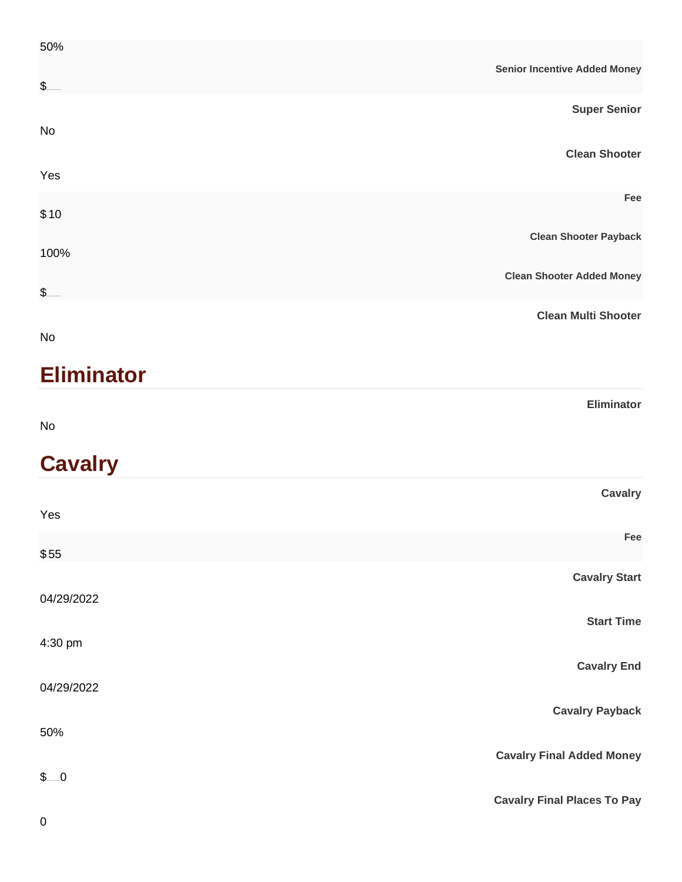| 50%               | <b>Senior Incentive Added Money</b> |
|-------------------|-------------------------------------|
| \$                | <b>Super Senior</b>                 |
| No                |                                     |
| Yes               | <b>Clean Shooter</b>                |
| \$10              | Fee                                 |
| 100%              | <b>Clean Shooter Payback</b>        |
| $S_{--}$          | <b>Clean Shooter Added Money</b>    |
| No                | <b>Clean Multi Shooter</b>          |
| <b>Eliminator</b> |                                     |
|                   | Eliminator                          |
| No                |                                     |
| <b>Cavalry</b>    |                                     |
| Yes               | <b>Cavalry</b>                      |
| \$55              | Fee                                 |
|                   | <b>Cavalry Start</b>                |
| 04/29/2022        | <b>Start Time</b>                   |
| 4:30 pm           |                                     |
| 04/29/2022        | <b>Cavalry End</b>                  |
|                   | <b>Cavalry Payback</b>              |
| 50%               |                                     |

**Cavalry Final Added Money**

**Cavalry Final Places To Pay**

\$\_0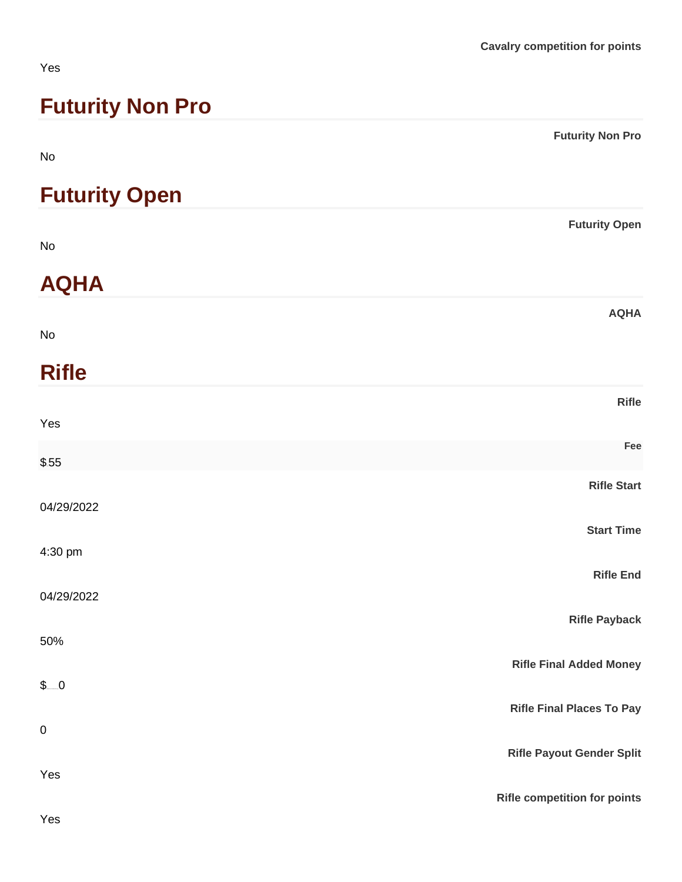### Yes

# **Futurity Non Pro**

| No                   | <b>Futurity Non Pro</b>               |
|----------------------|---------------------------------------|
| <b>Futurity Open</b> |                                       |
| <b>No</b>            | <b>Futurity Open</b>                  |
| <b>AQHA</b>          |                                       |
| No                   | <b>AQHA</b>                           |
| <b>Rifle</b>         |                                       |
| Yes                  | <b>Rifle</b>                          |
| \$.55                | Fee                                   |
| 04/29/2022           | <b>Rifle Start</b>                    |
| 4:30 pm              | <b>Start Time</b><br><b>Rifle End</b> |
| 04/29/2022           |                                       |
| 50%                  | <b>Rifle Payback</b>                  |
| \$0                  | <b>Rifle Final Added Money</b>        |
| $\pmb{0}$            | <b>Rifle Final Places To Pay</b>      |
| Yes                  | <b>Rifle Payout Gender Split</b>      |
|                      | <b>Rifle competition for points</b>   |
| Yes                  |                                       |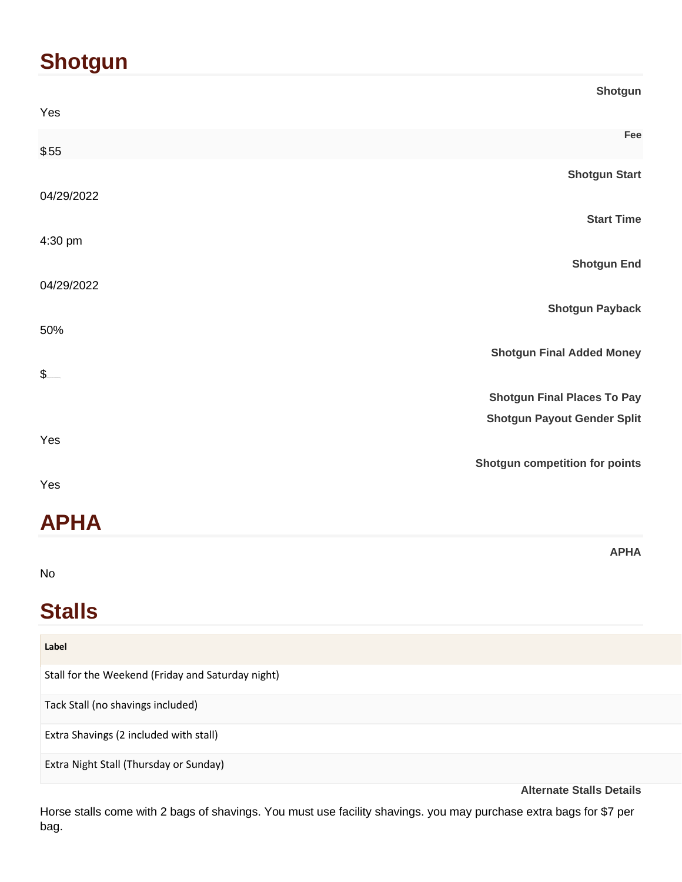# **Shotgun**

|             | Shotgun                               |
|-------------|---------------------------------------|
| Yes         |                                       |
| \$55        | Fee                                   |
|             | <b>Shotgun Start</b>                  |
| 04/29/2022  |                                       |
| 4:30 pm     | <b>Start Time</b>                     |
|             | <b>Shotgun End</b>                    |
| 04/29/2022  |                                       |
|             | <b>Shotgun Payback</b>                |
| 50%         | <b>Shotgun Final Added Money</b>      |
| \$          |                                       |
|             | <b>Shotgun Final Places To Pay</b>    |
|             | <b>Shotgun Payout Gender Split</b>    |
| Yes         |                                       |
| Yes         | <b>Shotgun competition for points</b> |
|             |                                       |
| <b>APHA</b> |                                       |

No

# **Stalls**

| Label                                             |
|---------------------------------------------------|
| Stall for the Weekend (Friday and Saturday night) |
| Tack Stall (no shavings included)                 |
| Extra Shavings (2 included with stall)            |
| Extra Night Stall (Thursday or Sunday)            |

**Alternate Stalls Details**

**APHA**

Horse stalls come with 2 bags of shavings. You must use facility shavings. you may purchase extra bags for \$7 per bag.